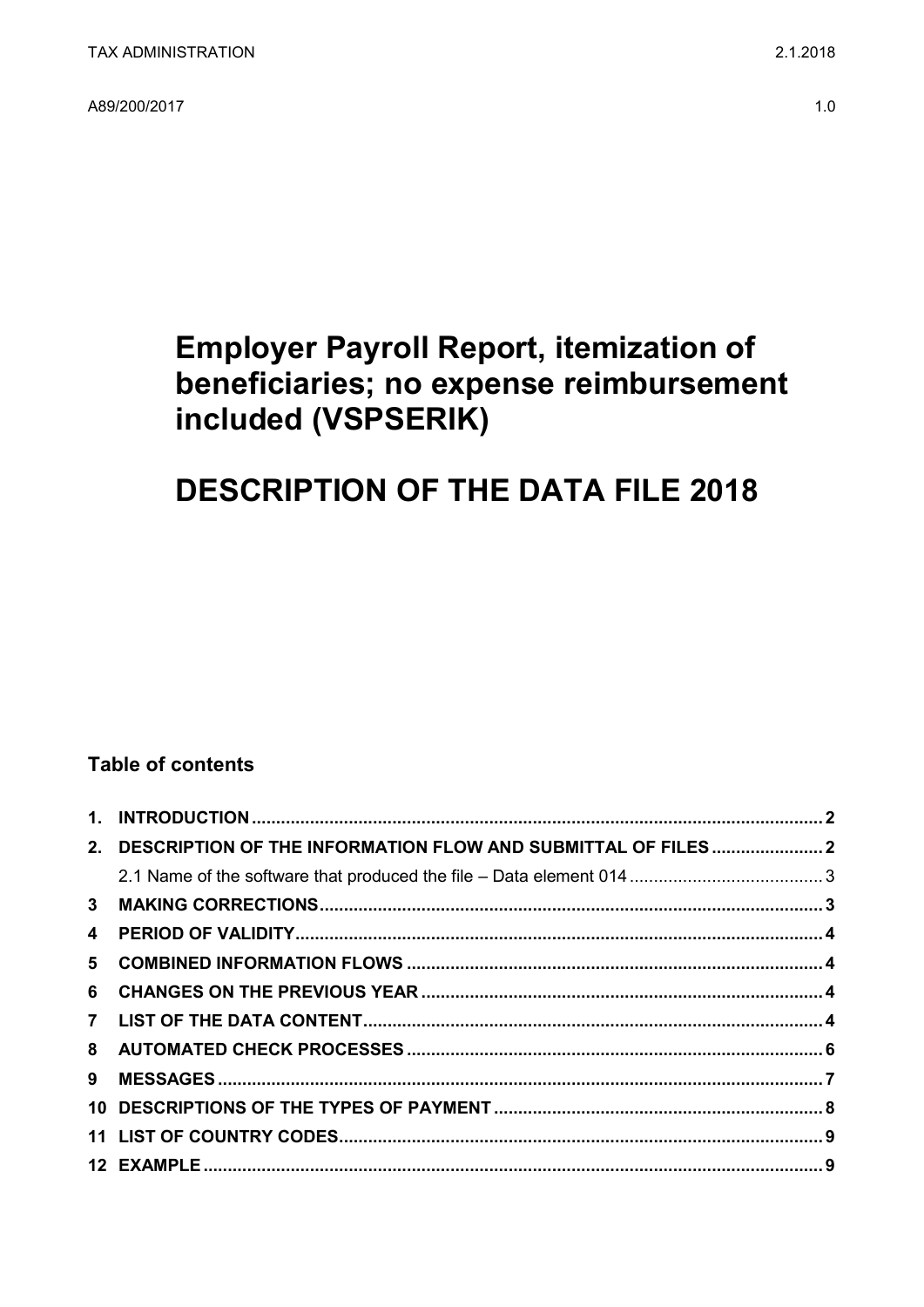A89/200/2017

## **Employer Payroll Report, itemization of** beneficiaries; no expense reimbursement included (VSPSERIK)

# **DESCRIPTION OF THE DATA FILE 2018**

### **Table of contents**

|                         | 2. DESCRIPTION OF THE INFORMATION FLOW AND SUBMITTAL OF FILES 2 |  |
|-------------------------|-----------------------------------------------------------------|--|
|                         |                                                                 |  |
|                         |                                                                 |  |
| $\overline{\mathbf{4}}$ |                                                                 |  |
|                         |                                                                 |  |
|                         |                                                                 |  |
|                         |                                                                 |  |
|                         |                                                                 |  |
| 9                       |                                                                 |  |
|                         |                                                                 |  |
|                         |                                                                 |  |
|                         |                                                                 |  |
|                         |                                                                 |  |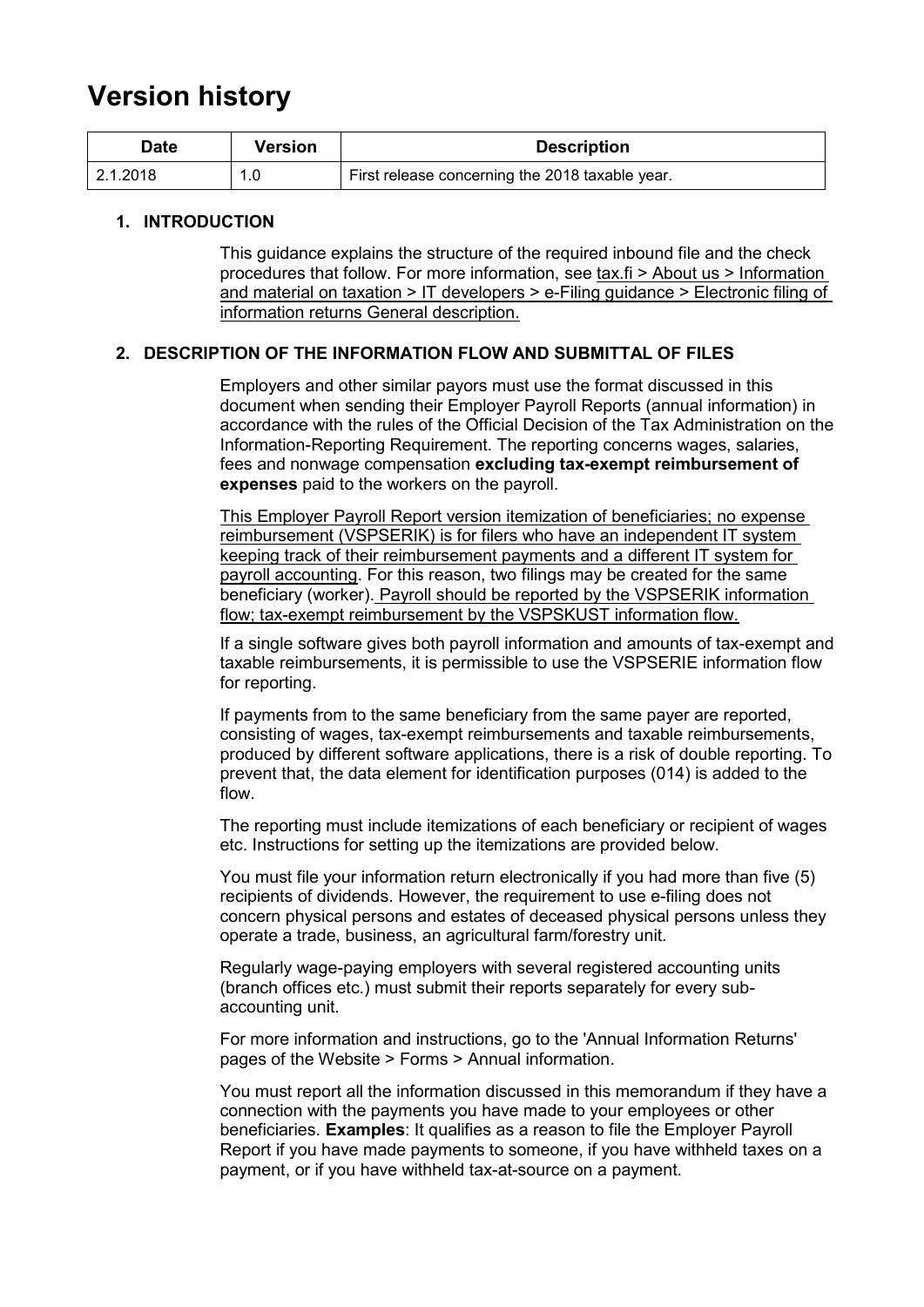## **Version history**

| Date     | Version | <b>Description</b>                              |
|----------|---------|-------------------------------------------------|
| 2.1.2018 | 1.0     | First release concerning the 2018 taxable year. |

#### <span id="page-1-0"></span>**1. INTRODUCTION**

This guidance explains the structure of the required inbound file and the check procedures that follow. For more information, see tax.fi > About us > Information and material on taxation > IT developers > e-Filing guidance > Electronic filing of information returns General description.

#### <span id="page-1-1"></span>**2. DESCRIPTION OF THE INFORMATION FLOW AND SUBMITTAL OF FILES**

Employers and other similar payors must use the format discussed in this document when sending their Employer Payroll Reports (annual information) in accordance with the rules of the Official Decision of the Tax Administration on the Information-Reporting Requirement. The reporting concerns wages, salaries, fees and nonwage compensation **excluding tax-exempt reimbursement of expenses** paid to the workers on the payroll.

This Employer Payroll Report version itemization of beneficiaries; no expense reimbursement (VSPSERIK) is for filers who have an independent IT system keeping track of their reimbursement payments and a different IT system for payroll accounting. For this reason, two filings may be created for the same beneficiary (worker). Payroll should be reported by the VSPSERIK information flow; tax-exempt reimbursement by the VSPSKUST information flow.

If a single software gives both payroll information and amounts of tax-exempt and taxable reimbursements, it is permissible to use the VSPSERIE information flow for reporting.

If payments from to the same beneficiary from the same payer are reported, consisting of wages, tax-exempt reimbursements and taxable reimbursements, produced by different software applications, there is a risk of double reporting. To prevent that, the data element for identification purposes (014) is added to the flow.

The reporting must include itemizations of each beneficiary or recipient of wages etc. Instructions for setting up the itemizations are provided below.

You must file your information return electronically if you had more than five (5) recipients of dividends. However, the requirement to use e-filing does not concern physical persons and estates of deceased physical persons unless they operate a trade, business, an agricultural farm/forestry unit.

Regularly wage-paying employers with several registered accounting units (branch offices etc.) must submit their reports separately for every subaccounting unit.

For more information and instructions, go to the 'Annual Information Returns' pages of the Website > Forms > Annual information.

You must report all the information discussed in this memorandum if they have a connection with the payments you have made to your employees or other beneficiaries. **Examples**: It qualifies as a reason to file the Employer Payroll Report if you have made payments to someone, if you have withheld taxes on a payment, or if you have withheld tax-at-source on a payment.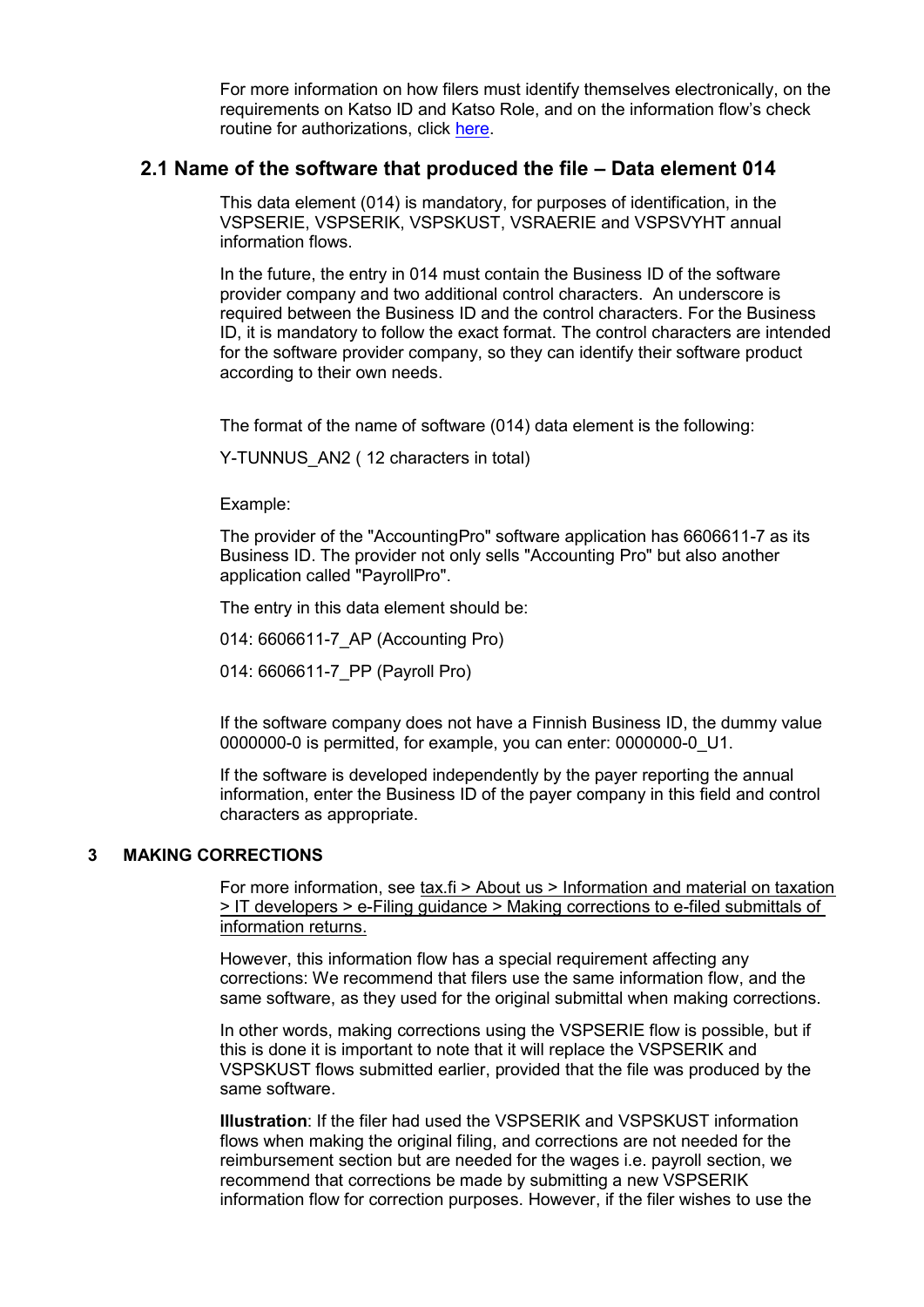For more information on how filers must identify themselves electronically, on the requirements on Katso ID and Katso Role, and on the information flow's check routine for authorizations, click [here.](https://www.ilmoitin.fi/webtamo/sivut/IlmoituslajiRoolit?kieli=en&tv=VSPSERIK)

#### <span id="page-2-0"></span>**2.1 Name of the software that produced the file – Data element 014**

This data element (014) is mandatory, for purposes of identification, in the VSPSERIE, VSPSERIK, VSPSKUST, VSRAERIE and VSPSVYHT annual information flows.

In the future, the entry in 014 must contain the Business ID of the software provider company and two additional control characters. An underscore is required between the Business ID and the control characters. For the Business ID, it is mandatory to follow the exact format. The control characters are intended for the software provider company, so they can identify their software product according to their own needs.

The format of the name of software (014) data element is the following:

Y-TUNNUS AN2 (12 characters in total)

Example:

The provider of the "AccountingPro" software application has 6606611-7 as its Business ID. The provider not only sells "Accounting Pro" but also another application called "PayrollPro".

The entry in this data element should be:

014: 6606611-7\_AP (Accounting Pro)

014: 6606611-7\_PP (Payroll Pro)

If the software company does not have a Finnish Business ID, the dummy value 0000000-0 is permitted, for example, you can enter: 0000000-0\_U1.

If the software is developed independently by the payer reporting the annual information, enter the Business ID of the payer company in this field and control characters as appropriate.

#### <span id="page-2-1"></span>**3 MAKING CORRECTIONS**

For more information, see tax.fi > About us > Information and material on taxation > IT developers > e-Filing guidance > Making corrections to e-filed submittals of information returns.

However, this information flow has a special requirement affecting any corrections: We recommend that filers use the same information flow, and the same software, as they used for the original submittal when making corrections.

In other words, making corrections using the VSPSERIE flow is possible, but if this is done it is important to note that it will replace the VSPSERIK and VSPSKUST flows submitted earlier, provided that the file was produced by the same software.

**Illustration**: If the filer had used the VSPSERIK and VSPSKUST information flows when making the original filing, and corrections are not needed for the reimbursement section but are needed for the wages i.e. payroll section, we recommend that corrections be made by submitting a new VSPSERIK information flow for correction purposes. However, if the filer wishes to use the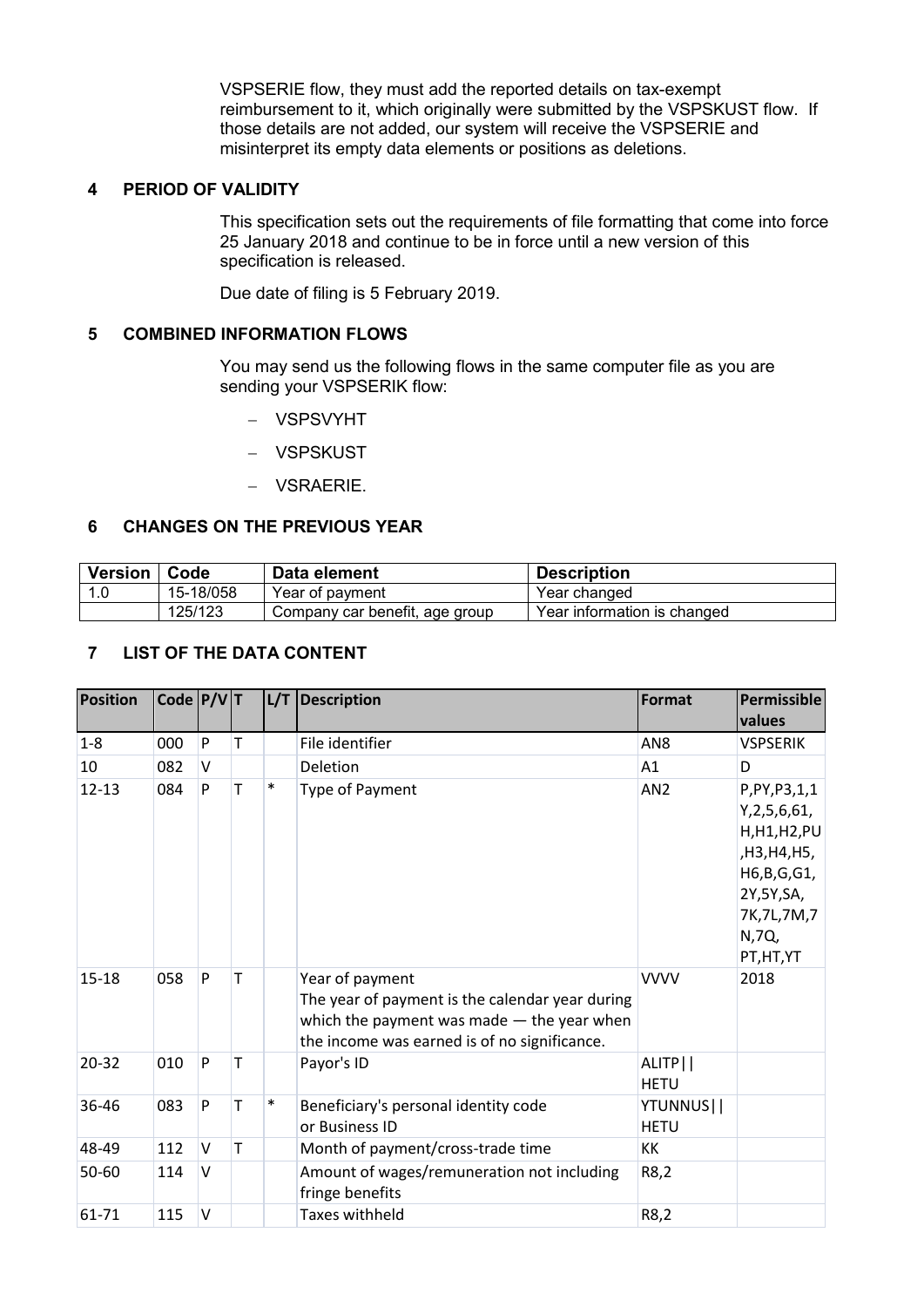VSPSERIE flow, they must add the reported details on tax-exempt reimbursement to it, which originally were submitted by the VSPSKUST flow. If those details are not added, our system will receive the VSPSERIE and misinterpret its empty data elements or positions as deletions.

#### <span id="page-3-0"></span>**4 PERIOD OF VALIDITY**

This specification sets out the requirements of file formatting that come into force 25 January 2018 and continue to be in force until a new version of this specification is released.

Due date of filing is 5 February 2019.

#### <span id="page-3-1"></span>**5 COMBINED INFORMATION FLOWS**

You may send us the following flows in the same computer file as you are sending your VSPSERIK flow:

- VSPSVYHT
- VSPSKUST
- VSRAERIE.

#### <span id="page-3-2"></span>**6 CHANGES ON THE PREVIOUS YEAR**

| <b>Version</b> | Code      | Data element                   | <b>Description</b>          |
|----------------|-----------|--------------------------------|-----------------------------|
| -1.0           | 15-18/058 | Year of payment                | Year changed                |
|                | 125/123   | Company car benefit, age group | Year information is changed |

#### <span id="page-3-3"></span>**7 LIST OF THE DATA CONTENT**

| <b>Position</b> | Code $P/V$ T |   |   |        | L/T   Description                                                                                                                                                  | Format                   | Permissible<br>values                                                                                                                |
|-----------------|--------------|---|---|--------|--------------------------------------------------------------------------------------------------------------------------------------------------------------------|--------------------------|--------------------------------------------------------------------------------------------------------------------------------------|
| $1-8$           | 000          | P | T |        | File identifier                                                                                                                                                    | AN <sub>8</sub>          | <b>VSPSERIK</b>                                                                                                                      |
| 10              | 082          | V |   |        | Deletion                                                                                                                                                           | A1                       | D                                                                                                                                    |
| $12 - 13$       | 084          | P | T | $\ast$ | Type of Payment                                                                                                                                                    | AN <sub>2</sub>          | P, PY, P3, 1, 1<br>Y, 2, 5, 6, 61,<br>H, H1, H2, PU<br>,H3,H4,H5,<br>H6,B,G,G1,<br>2Y,5Y,SA,<br>7K, 7L, 7M, 7<br>N,7Q,<br>PT, HT, YT |
| 15-18           | 058          | P | T |        | Year of payment<br>The year of payment is the calendar year during<br>which the payment was made $-$ the year when<br>the income was earned is of no significance. | <b>VVVV</b>              | 2018                                                                                                                                 |
| 20-32           | 010          | P | т |        | Payor's ID                                                                                                                                                         | ALITP  <br><b>HETU</b>   |                                                                                                                                      |
| 36-46           | 083          | P | T | $\ast$ | Beneficiary's personal identity code<br>or Business ID                                                                                                             | YTUNNUS  <br><b>HETU</b> |                                                                                                                                      |
| 48-49           | 112          | V | T |        | Month of payment/cross-trade time                                                                                                                                  | KK                       |                                                                                                                                      |
| 50-60           | 114          | V |   |        | Amount of wages/remuneration not including<br>fringe benefits                                                                                                      | R8,2                     |                                                                                                                                      |
| 61-71           | 115          | V |   |        | <b>Taxes withheld</b>                                                                                                                                              | R8,2                     |                                                                                                                                      |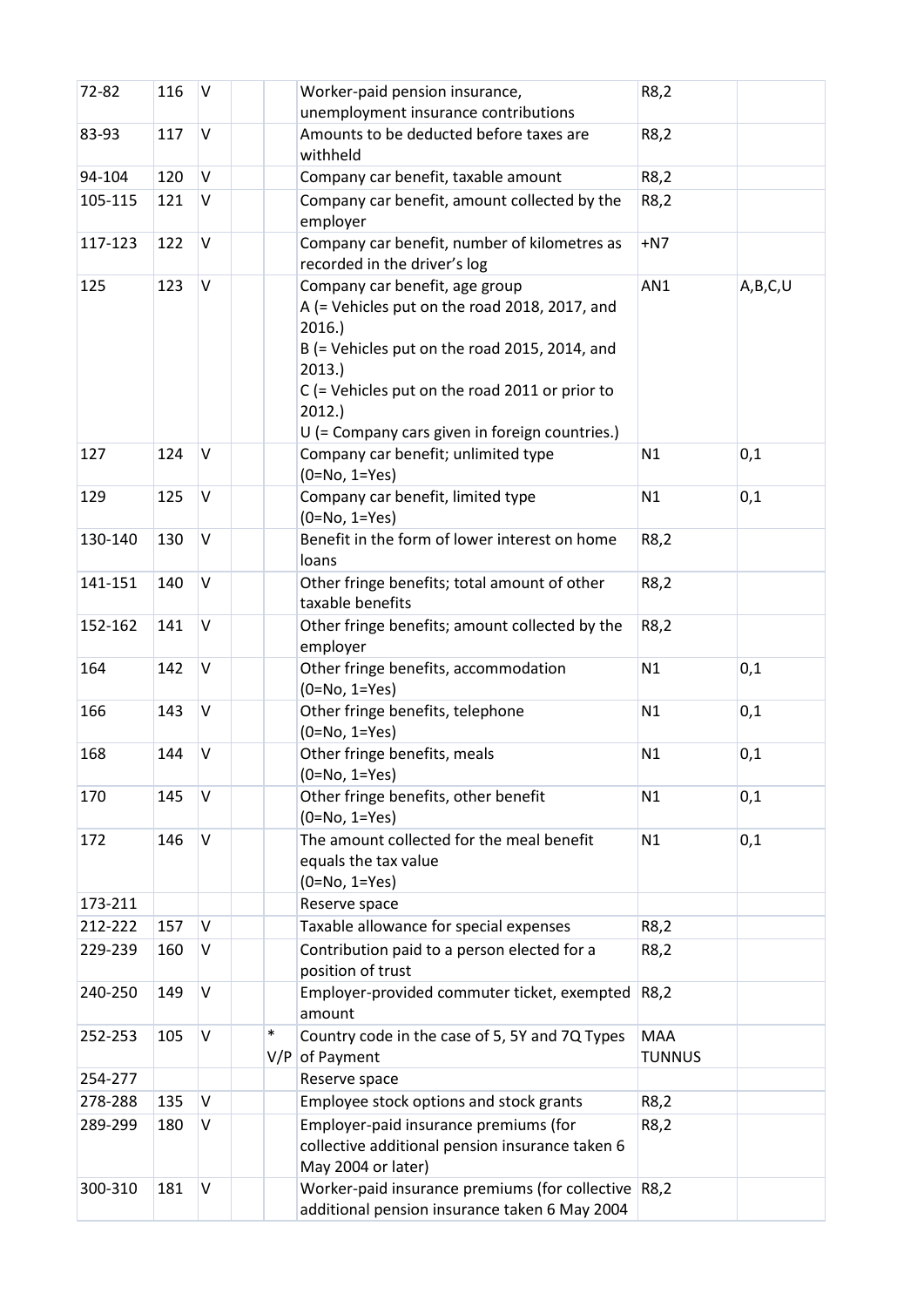| 72-82   | 116 | $\vee$  |               | Worker-paid pension insurance,<br>unemployment insurance contributions                                                                                                                                                                                          | R8,2                        |         |
|---------|-----|---------|---------------|-----------------------------------------------------------------------------------------------------------------------------------------------------------------------------------------------------------------------------------------------------------------|-----------------------------|---------|
| 83-93   | 117 | $\vee$  |               | Amounts to be deducted before taxes are<br>withheld                                                                                                                                                                                                             | R8,2                        |         |
| 94-104  | 120 | V       |               | Company car benefit, taxable amount                                                                                                                                                                                                                             | R8,2                        |         |
| 105-115 | 121 | V       |               | Company car benefit, amount collected by the<br>employer                                                                                                                                                                                                        | R8,2                        |         |
| 117-123 | 122 | V       |               | Company car benefit, number of kilometres as<br>recorded in the driver's log                                                                                                                                                                                    | $+N7$                       |         |
| 125     | 123 | V       |               | Company car benefit, age group<br>A (= Vehicles put on the road 2018, 2017, and<br>2016.<br>B (= Vehicles put on the road 2015, 2014, and<br>2013.<br>C (= Vehicles put on the road 2011 or prior to<br>2012.<br>U (= Company cars given in foreign countries.) | AN1                         | A,B,C,U |
| 127     | 124 | V       |               | Company car benefit; unlimited type<br>$(0=No, 1=Yes)$                                                                                                                                                                                                          | N1                          | 0,1     |
| 129     | 125 | $\sf V$ |               | Company car benefit, limited type<br>$(0=No, 1=Yes)$                                                                                                                                                                                                            | N1                          | 0,1     |
| 130-140 | 130 | V       |               | Benefit in the form of lower interest on home<br>loans                                                                                                                                                                                                          | R8,2                        |         |
| 141-151 | 140 | V       |               | Other fringe benefits; total amount of other<br>taxable benefits                                                                                                                                                                                                | R8,2                        |         |
| 152-162 | 141 | $\vee$  |               | Other fringe benefits; amount collected by the<br>employer                                                                                                                                                                                                      | R8,2                        |         |
| 164     | 142 | $\vee$  |               | Other fringe benefits, accommodation<br>$(0=No, 1=Yes)$                                                                                                                                                                                                         | N1                          | 0,1     |
| 166     | 143 | V       |               | Other fringe benefits, telephone<br>$(0=No, 1=Yes)$                                                                                                                                                                                                             | N1                          | 0,1     |
| 168     | 144 | $\vee$  |               | Other fringe benefits, meals<br>(0=No, 1=Yes)                                                                                                                                                                                                                   | N1                          | 0,1     |
| 170     | 145 | V       |               | Other fringe benefits, other benefit<br>$(0=No, 1=Yes)$                                                                                                                                                                                                         | N1                          | 0,1     |
| 172     | 146 | $\vee$  |               | The amount collected for the meal benefit<br>equals the tax value<br>$(0=No, 1=Yes)$                                                                                                                                                                            | N1                          | 0,1     |
| 173-211 |     |         |               | Reserve space                                                                                                                                                                                                                                                   |                             |         |
| 212-222 | 157 | $\vee$  |               | Taxable allowance for special expenses                                                                                                                                                                                                                          | R8,2                        |         |
| 229-239 | 160 | V       |               | Contribution paid to a person elected for a<br>position of trust                                                                                                                                                                                                | R8,2                        |         |
| 240-250 | 149 | $\vee$  |               | Employer-provided commuter ticket, exempted<br>amount                                                                                                                                                                                                           | R8,2                        |         |
| 252-253 | 105 | $\vee$  | $\ast$<br>V/P | Country code in the case of 5, 5Y and 7Q Types<br>of Payment                                                                                                                                                                                                    | <b>MAA</b><br><b>TUNNUS</b> |         |
| 254-277 |     |         |               | Reserve space                                                                                                                                                                                                                                                   |                             |         |
| 278-288 | 135 | $\vee$  |               | Employee stock options and stock grants                                                                                                                                                                                                                         | R8,2                        |         |
| 289-299 | 180 | V       |               | Employer-paid insurance premiums (for<br>collective additional pension insurance taken 6<br>May 2004 or later)                                                                                                                                                  | R8,2                        |         |
| 300-310 | 181 | V       |               | Worker-paid insurance premiums (for collective R8,2<br>additional pension insurance taken 6 May 2004                                                                                                                                                            |                             |         |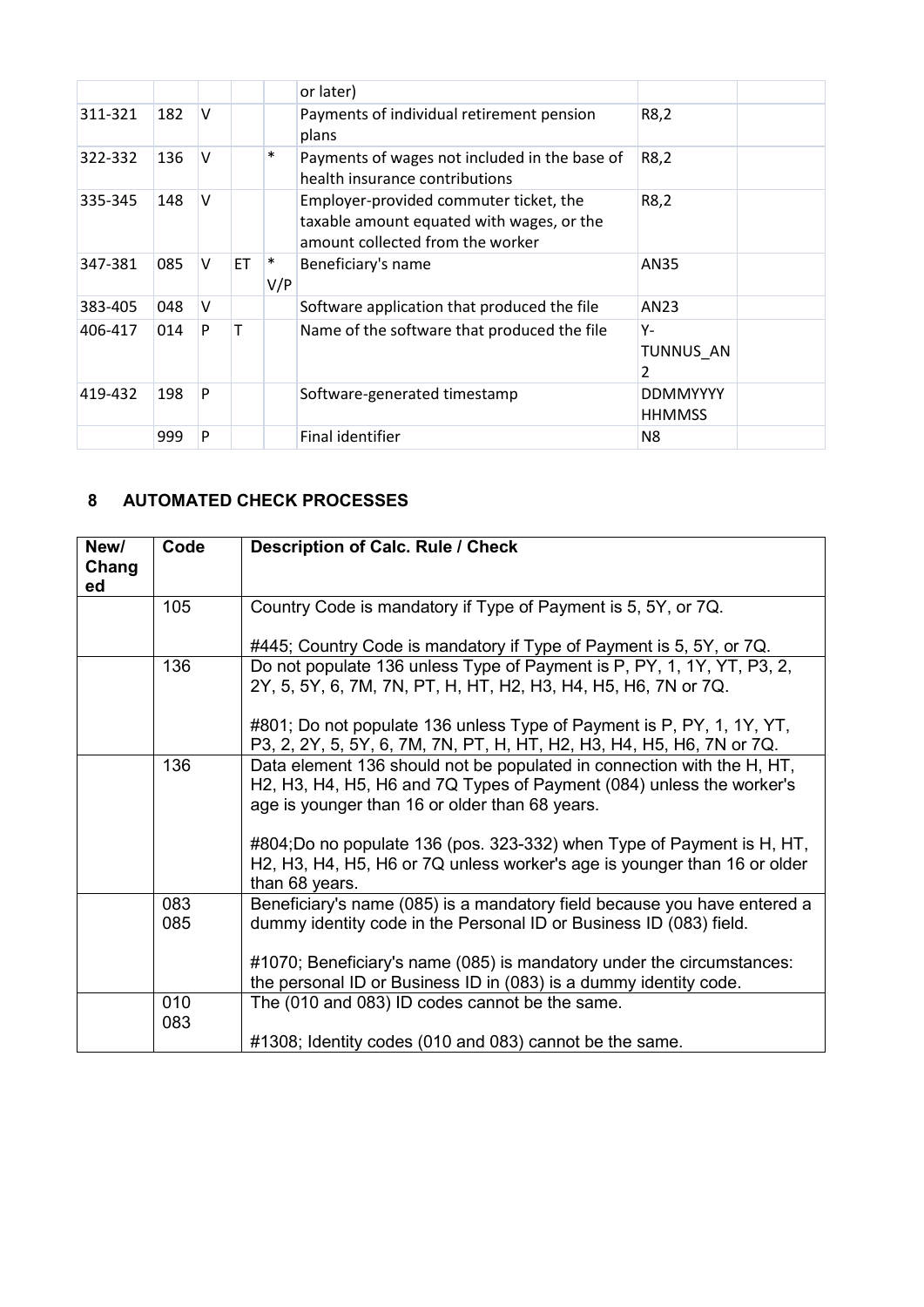|         |     |        |           |          | or later)                                                                                                               |                                  |
|---------|-----|--------|-----------|----------|-------------------------------------------------------------------------------------------------------------------------|----------------------------------|
| 311-321 | 182 | $\vee$ |           |          | Payments of individual retirement pension<br>plans                                                                      | R8,2                             |
| 322-332 | 136 | V      |           | $\ast$   | Payments of wages not included in the base of<br>health insurance contributions                                         | R8,2                             |
| 335-345 | 148 | $\vee$ |           |          | Employer-provided commuter ticket, the<br>taxable amount equated with wages, or the<br>amount collected from the worker | R8,2                             |
| 347-381 | 085 | V      | <b>ET</b> | ∗<br>V/P | Beneficiary's name                                                                                                      | AN35                             |
| 383-405 | 048 | V      |           |          | Software application that produced the file                                                                             | AN23                             |
| 406-417 | 014 | P      |           |          | Name of the software that produced the file                                                                             | Υ-<br>TUNNUS AN<br>2             |
| 419-432 | 198 | P      |           |          | Software-generated timestamp                                                                                            | <b>DDMMYYYY</b><br><b>HHMMSS</b> |
|         | 999 | P      |           |          | Final identifier                                                                                                        | N8                               |

### <span id="page-5-0"></span>**8 AUTOMATED CHECK PROCESSES**

| New/<br>Chang<br>ed | Code       | <b>Description of Calc. Rule / Check</b>                                                                                                                                                         |
|---------------------|------------|--------------------------------------------------------------------------------------------------------------------------------------------------------------------------------------------------|
|                     | 105        | Country Code is mandatory if Type of Payment is 5, 5Y, or 7Q.                                                                                                                                    |
|                     |            | #445; Country Code is mandatory if Type of Payment is 5, 5Y, or 7Q.                                                                                                                              |
|                     | 136        | Do not populate 136 unless Type of Payment is P, PY, 1, 1Y, YT, P3, 2,<br>2Y, 5, 5Y, 6, 7M, 7N, PT, H, HT, H2, H3, H4, H5, H6, 7N or 7Q.                                                         |
|                     |            | #801; Do not populate 136 unless Type of Payment is P, PY, 1, 1Y, YT,<br>P3, 2, 2Y, 5, 5Y, 6, 7M, 7N, PT, H, HT, H2, H3, H4, H5, H6, 7N or 7Q.                                                   |
|                     | 136        | Data element 136 should not be populated in connection with the H, HT,<br>H2, H3, H4, H5, H6 and 7Q Types of Payment (084) unless the worker's<br>age is younger than 16 or older than 68 years. |
|                     |            | #804;Do no populate 136 (pos. 323-332) when Type of Payment is H, HT,<br>H2, H3, H4, H5, H6 or 7Q unless worker's age is younger than 16 or older<br>than 68 years.                              |
|                     | 083        | Beneficiary's name (085) is a mandatory field because you have entered a                                                                                                                         |
|                     | 085        | dummy identity code in the Personal ID or Business ID (083) field.                                                                                                                               |
|                     |            | #1070; Beneficiary's name (085) is mandatory under the circumstances:<br>the personal ID or Business ID in (083) is a dummy identity code.                                                       |
|                     | 010<br>083 | The (010 and 083) ID codes cannot be the same.                                                                                                                                                   |
|                     |            | #1308; Identity codes (010 and 083) cannot be the same.                                                                                                                                          |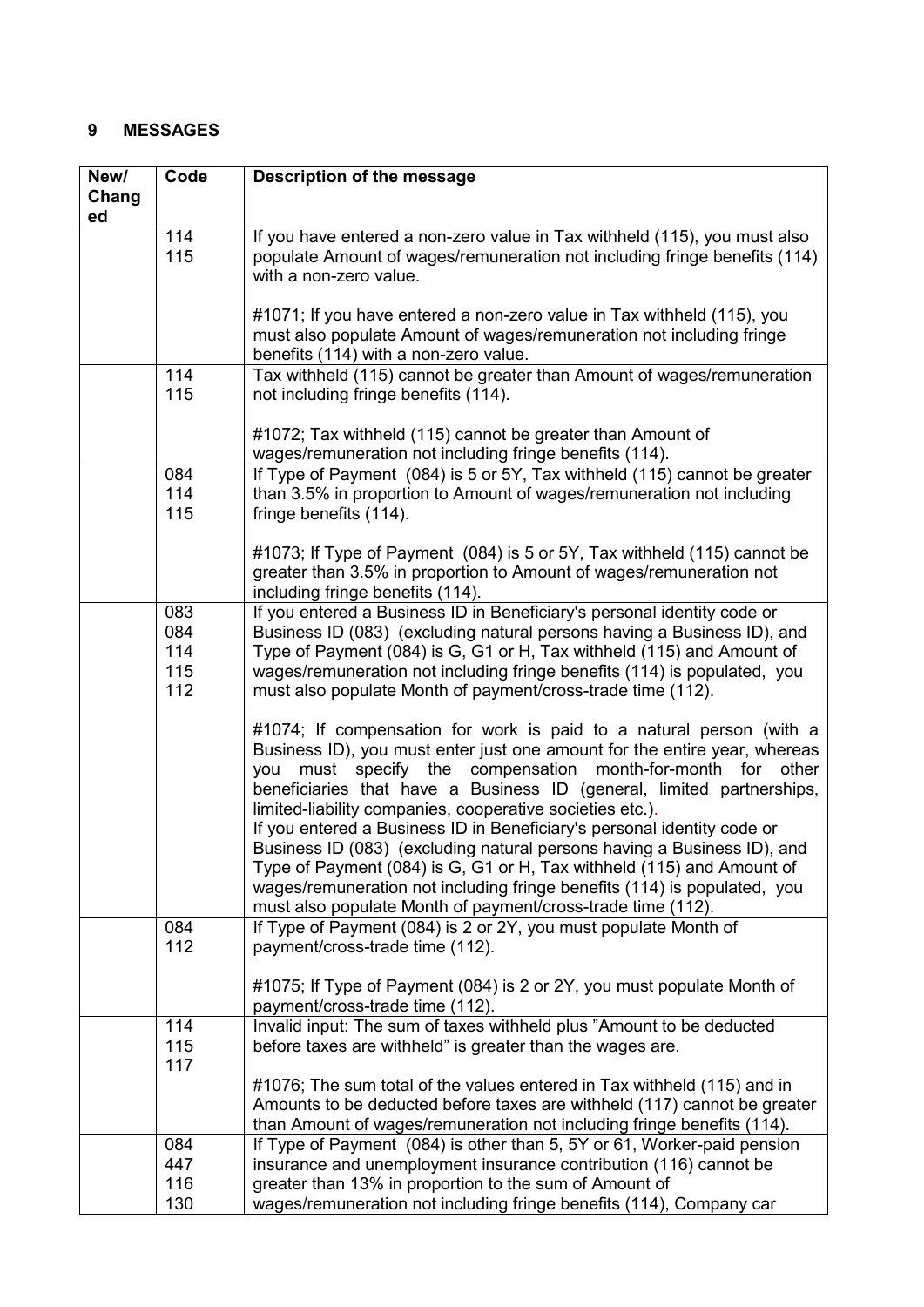## <span id="page-6-0"></span>**9 MESSAGES**

| New/  | Code       | Description of the message                                                                                                                             |
|-------|------------|--------------------------------------------------------------------------------------------------------------------------------------------------------|
| Chang |            |                                                                                                                                                        |
| ed    |            |                                                                                                                                                        |
|       | 114<br>115 | If you have entered a non-zero value in Tax withheld (115), you must also<br>populate Amount of wages/remuneration not including fringe benefits (114) |
|       |            | with a non-zero value.                                                                                                                                 |
|       |            |                                                                                                                                                        |
|       |            | #1071; If you have entered a non-zero value in Tax withheld (115), you                                                                                 |
|       |            | must also populate Amount of wages/remuneration not including fringe                                                                                   |
|       |            | benefits (114) with a non-zero value.                                                                                                                  |
|       | 114        | Tax withheld (115) cannot be greater than Amount of wages/remuneration                                                                                 |
|       | 115        | not including fringe benefits (114).                                                                                                                   |
|       |            |                                                                                                                                                        |
|       |            | #1072; Tax withheld (115) cannot be greater than Amount of<br>wages/remuneration not including fringe benefits (114).                                  |
|       | 084        | If Type of Payment (084) is 5 or 5Y, Tax withheld (115) cannot be greater                                                                              |
|       | 114        | than 3.5% in proportion to Amount of wages/remuneration not including                                                                                  |
|       | 115        | fringe benefits (114).                                                                                                                                 |
|       |            |                                                                                                                                                        |
|       |            | #1073; If Type of Payment (084) is 5 or 5Y, Tax withheld (115) cannot be                                                                               |
|       |            | greater than 3.5% in proportion to Amount of wages/remuneration not                                                                                    |
|       |            | including fringe benefits (114).                                                                                                                       |
|       | 083        | If you entered a Business ID in Beneficiary's personal identity code or                                                                                |
|       | 084        | Business ID (083) (excluding natural persons having a Business ID), and                                                                                |
|       | 114<br>115 | Type of Payment (084) is G, G1 or H, Tax withheld (115) and Amount of<br>wages/remuneration not including fringe benefits (114) is populated, you      |
|       | 112        | must also populate Month of payment/cross-trade time (112).                                                                                            |
|       |            |                                                                                                                                                        |
|       |            | #1074; If compensation for work is paid to a natural person (with a                                                                                    |
|       |            | Business ID), you must enter just one amount for the entire year, whereas                                                                              |
|       |            | must specify the compensation month-for-month for<br>other<br>you                                                                                      |
|       |            | beneficiaries that have a Business ID (general, limited partnerships,                                                                                  |
|       |            | limited-liability companies, cooperative societies etc.).                                                                                              |
|       |            | If you entered a Business ID in Beneficiary's personal identity code or                                                                                |
|       |            | Business ID (083) (excluding natural persons having a Business ID), and<br>Type of Payment (084) is G, G1 or H, Tax withheld (115) and Amount of       |
|       |            | wages/remuneration not including fringe benefits (114) is populated, you                                                                               |
|       |            | must also populate Month of payment/cross-trade time (112).                                                                                            |
|       | 084        | If Type of Payment (084) is 2 or 2Y, you must populate Month of                                                                                        |
|       | 112        | payment/cross-trade time (112).                                                                                                                        |
|       |            |                                                                                                                                                        |
|       |            | #1075; If Type of Payment (084) is 2 or 2Y, you must populate Month of                                                                                 |
|       | 114        | payment/cross-trade time (112).<br>Invalid input: The sum of taxes withheld plus "Amount to be deducted                                                |
|       | 115        | before taxes are withheld" is greater than the wages are.                                                                                              |
|       | 117        |                                                                                                                                                        |
|       |            | #1076; The sum total of the values entered in Tax withheld (115) and in                                                                                |
|       |            | Amounts to be deducted before taxes are withheld (117) cannot be greater                                                                               |
|       |            | than Amount of wages/remuneration not including fringe benefits (114).                                                                                 |
|       | 084        | If Type of Payment (084) is other than 5, 5Y or 61, Worker-paid pension                                                                                |
|       | 447        | insurance and unemployment insurance contribution (116) cannot be                                                                                      |
|       | 116        | greater than 13% in proportion to the sum of Amount of                                                                                                 |
|       | 130        | wages/remuneration not including fringe benefits (114), Company car                                                                                    |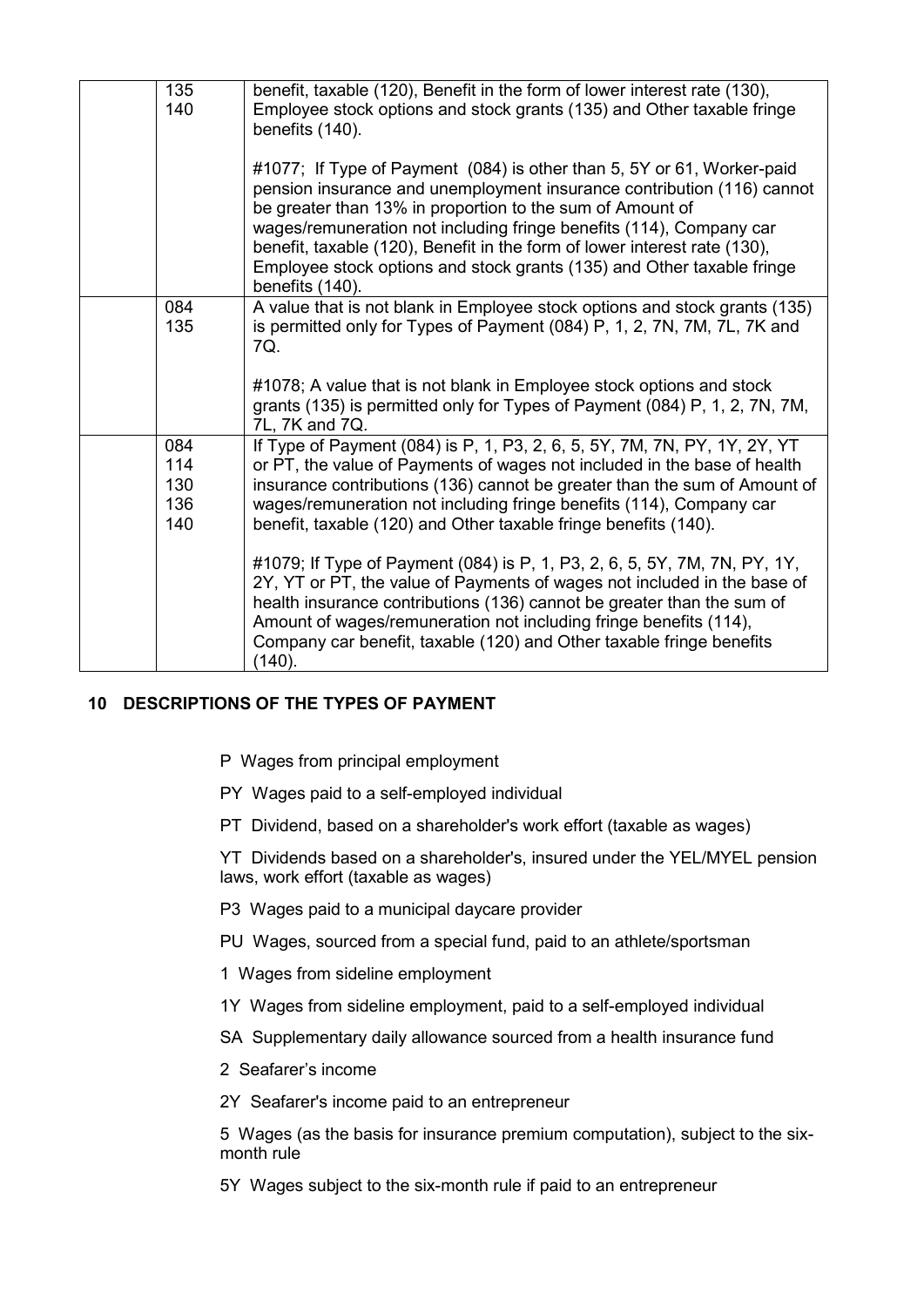| 135<br>140 | benefit, taxable (120), Benefit in the form of lower interest rate (130),<br>Employee stock options and stock grants (135) and Other taxable fringe<br>benefits (140).                                                                                                                                                                                                                                                                                         |
|------------|----------------------------------------------------------------------------------------------------------------------------------------------------------------------------------------------------------------------------------------------------------------------------------------------------------------------------------------------------------------------------------------------------------------------------------------------------------------|
|            | #1077; If Type of Payment (084) is other than 5, 5Y or 61, Worker-paid<br>pension insurance and unemployment insurance contribution (116) cannot<br>be greater than 13% in proportion to the sum of Amount of<br>wages/remuneration not including fringe benefits (114), Company car<br>benefit, taxable (120), Benefit in the form of lower interest rate (130),<br>Employee stock options and stock grants (135) and Other taxable fringe<br>benefits (140). |
| 084        | A value that is not blank in Employee stock options and stock grants (135)                                                                                                                                                                                                                                                                                                                                                                                     |
| 135        | is permitted only for Types of Payment (084) P, 1, 2, 7N, 7M, 7L, 7K and<br>7Q.<br>#1078; A value that is not blank in Employee stock options and stock<br>grants (135) is permitted only for Types of Payment (084) P, 1, 2, 7N, 7M,<br>7L, 7K and 7Q.                                                                                                                                                                                                        |
| 084<br>114 | If Type of Payment (084) is P, 1, P3, 2, 6, 5, 5Y, 7M, 7N, PY, 1Y, 2Y, YT<br>or PT, the value of Payments of wages not included in the base of health                                                                                                                                                                                                                                                                                                          |
| 130        | insurance contributions (136) cannot be greater than the sum of Amount of                                                                                                                                                                                                                                                                                                                                                                                      |
| 136        | wages/remuneration not including fringe benefits (114), Company car                                                                                                                                                                                                                                                                                                                                                                                            |
| 140        | benefit, taxable (120) and Other taxable fringe benefits (140).                                                                                                                                                                                                                                                                                                                                                                                                |
|            | #1079; If Type of Payment (084) is P, 1, P3, 2, 6, 5, 5Y, 7M, 7N, PY, 1Y,<br>2Y, YT or PT, the value of Payments of wages not included in the base of<br>health insurance contributions (136) cannot be greater than the sum of<br>Amount of wages/remuneration not including fringe benefits (114),<br>Company car benefit, taxable (120) and Other taxable fringe benefits<br>(140).                                                                         |

## <span id="page-7-0"></span>**10 DESCRIPTIONS OF THE TYPES OF PAYMENT**

- P Wages from principal employment
- PY Wages paid to a self-employed individual
- PT Dividend, based on a shareholder's work effort (taxable as wages)

YT Dividends based on a shareholder's, insured under the YEL/MYEL pension laws, work effort (taxable as wages)

- P3 Wages paid to a municipal daycare provider
- PU Wages, sourced from a special fund, paid to an athlete/sportsman
- 1 Wages from sideline employment
- 1Y Wages from sideline employment, paid to a self-employed individual
- SA Supplementary daily allowance sourced from a health insurance fund
- 2 Seafarer's income
- 2Y Seafarer's income paid to an entrepreneur

5 Wages (as the basis for insurance premium computation), subject to the sixmonth rule

5Y Wages subject to the six-month rule if paid to an entrepreneur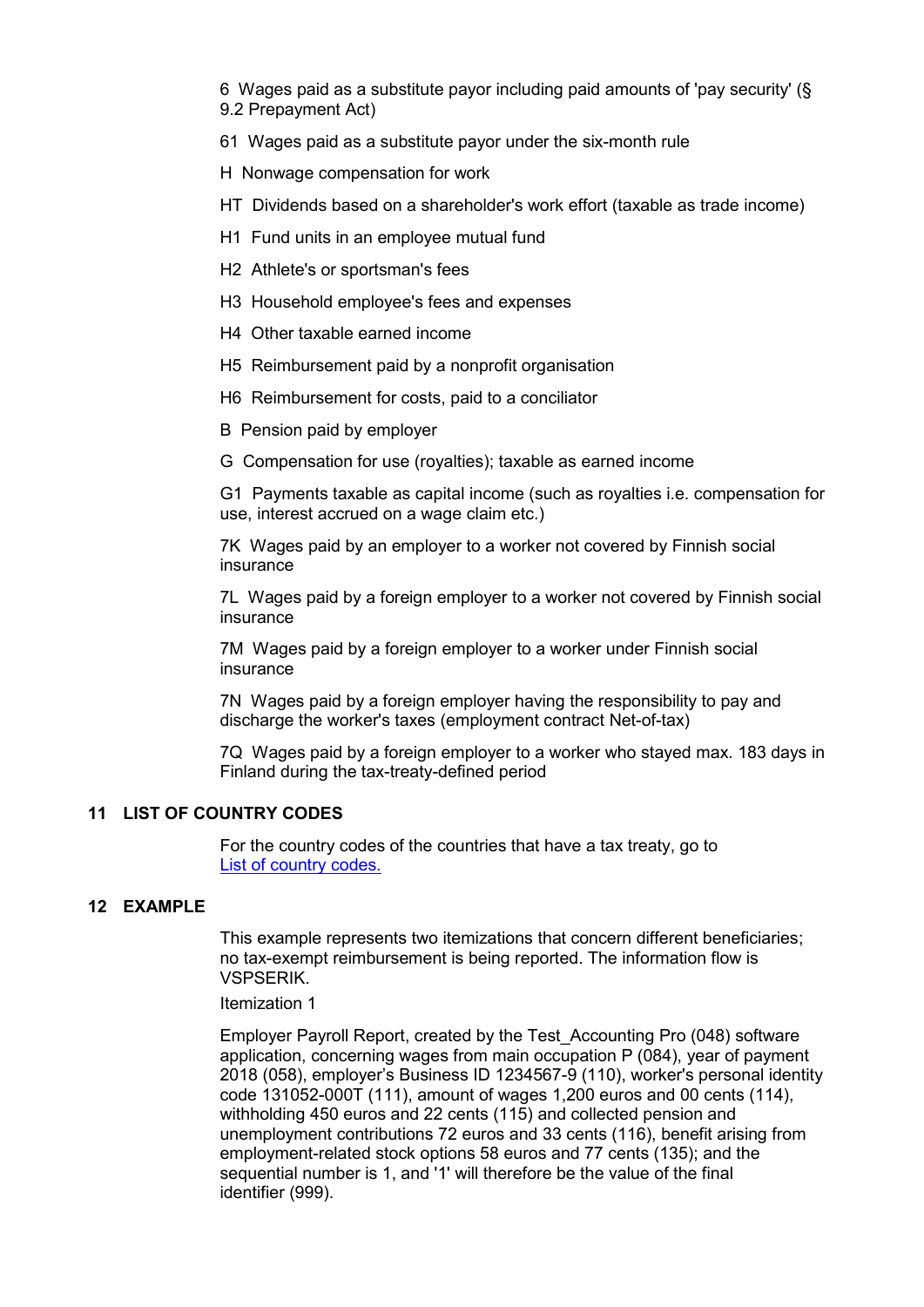6 Wages paid as a substitute payor including paid amounts of 'pay security' (§ 9.2 Prepayment Act)

61 Wages paid as a substitute payor under the six-month rule

H Nonwage compensation for work

- HT Dividends based on a shareholder's work effort (taxable as trade income)
- H1 Fund units in an employee mutual fund
- H2 Athlete's or sportsman's fees
- H3 Household employee's fees and expenses
- H4 Other taxable earned income
- H5 Reimbursement paid by a nonprofit organisation
- H6 Reimbursement for costs, paid to a conciliator
- B Pension paid by employer
- G Compensation for use (royalties); taxable as earned income

G1 Payments taxable as capital income (such as royalties i.e. compensation for use, interest accrued on a wage claim etc.)

7K Wages paid by an employer to a worker not covered by Finnish social insurance

7L Wages paid by a foreign employer to a worker not covered by Finnish social insurance

7M Wages paid by a foreign employer to a worker under Finnish social insurance

7N Wages paid by a foreign employer having the responsibility to pay and discharge the worker's taxes (employment contract Net-of-tax)

7Q Wages paid by a foreign employer to a worker who stayed max. 183 days in Finland during the tax-treaty-defined period

#### <span id="page-8-0"></span>**11 LIST OF COUNTRY CODES**

For the country codes of the countries that have a tax treaty, go to [List of country codes.](https://www.ilmoitin.fi/webtamo/sivut/ExcelPohjat?1&kieli=en)

#### <span id="page-8-1"></span>**12 EXAMPLE**

This example represents two itemizations that concern different beneficiaries; no tax-exempt reimbursement is being reported. The information flow is VSPSERIK.

#### Itemization 1

Employer Payroll Report, created by the Test\_Accounting Pro (048) software application, concerning wages from main occupation P (084), year of payment 2018 (058), employer's Business ID 1234567-9 (110), worker's personal identity code 131052-000T (111), amount of wages 1,200 euros and 00 cents (114), withholding 450 euros and 22 cents (115) and collected pension and unemployment contributions 72 euros and 33 cents (116), benefit arising from employment-related stock options 58 euros and 77 cents (135); and the sequential number is 1, and '1' will therefore be the value of the final identifier (999).